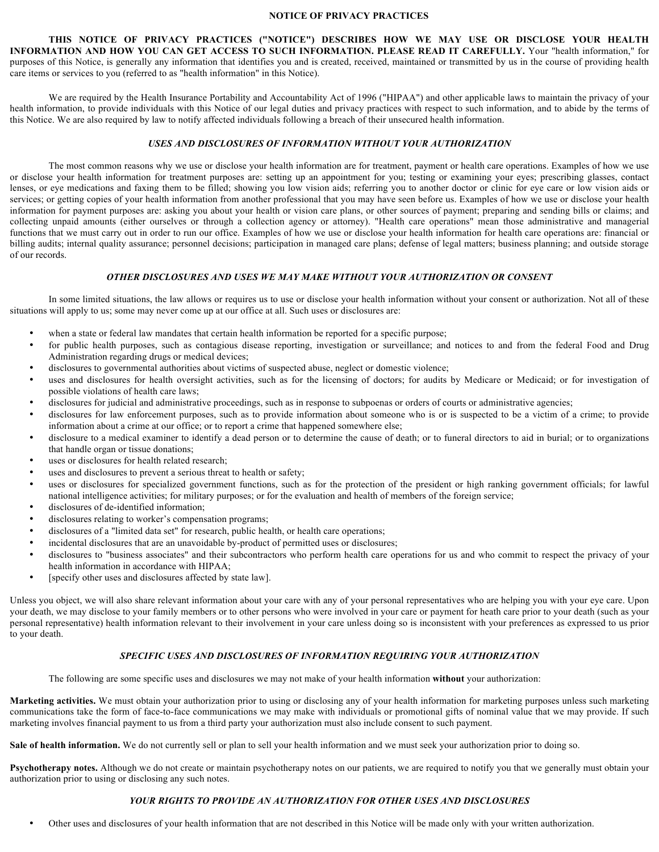#### **NOTICE OF PRIVACY PRACTICES**

**THIS NOTICE OF PRIVACY PRACTICES ("NOTICE") DESCRIBES HOW WE MAY USE OR DISCLOSE YOUR HEALTH INFORMATION AND HOW YOU CAN GET ACCESS TO SUCH INFORMATION. PLEASE READ IT CAREFULLY.** Your "health information," for purposes of this Notice, is generally any information that identifies you and is created, received, maintained or transmitted by us in the course of providing health care items or services to you (referred to as "health information" in this Notice).

We are required by the Health Insurance Portability and Accountability Act of 1996 ("HIPAA") and other applicable laws to maintain the privacy of your health information, to provide individuals with this Notice of our legal duties and privacy practices with respect to such information, and to abide by the terms of this Notice. We are also required by law to notify affected individuals following a breach of their unsecured health information.

### *USES AND DISCLOSURES OF INFORMATION WITHOUT YOUR AUTHORIZATION*

The most common reasons why we use or disclose your health information are for treatment, payment or health care operations. Examples of how we use or disclose your health information for treatment purposes are: setting up an appointment for you; testing or examining your eyes; prescribing glasses, contact lenses, or eye medications and faxing them to be filled; showing you low vision aids; referring you to another doctor or clinic for eye care or low vision aids or services; or getting copies of your health information from another professional that you may have seen before us. Examples of how we use or disclose your health information for payment purposes are: asking you about your health or vision care plans, or other sources of payment; preparing and sending bills or claims; and collecting unpaid amounts (either ourselves or through a collection agency or attorney). "Health care operations" mean those administrative and managerial functions that we must carry out in order to run our office. Examples of how we use or disclose your health information for health care operations are: financial or billing audits; internal quality assurance; personnel decisions; participation in managed care plans; defense of legal matters; business planning; and outside storage of our records.

## *OTHER DISCLOSURES AND USES WE MAY MAKE WITHOUT YOUR AUTHORIZATION OR CONSENT*

In some limited situations, the law allows or requires us to use or disclose your health information without your consent or authorization. Not all of these situations will apply to us; some may never come up at our office at all. Such uses or disclosures are:

- when a state or federal law mandates that certain health information be reported for a specific purpose;
- for public health purposes, such as contagious disease reporting, investigation or surveillance; and notices to and from the federal Food and Drug Administration regarding drugs or medical devices;
- disclosures to governmental authorities about victims of suspected abuse, neglect or domestic violence;
- uses and disclosures for health oversight activities, such as for the licensing of doctors; for audits by Medicare or Medicaid; or for investigation of possible violations of health care laws;
- disclosures for judicial and administrative proceedings, such as in response to subpoenas or orders of courts or administrative agencies;
- disclosures for law enforcement purposes, such as to provide information about someone who is or is suspected to be a victim of a crime; to provide information about a crime at our office; or to report a crime that happened somewhere else;
- disclosure to a medical examiner to identify a dead person or to determine the cause of death; or to funeral directors to aid in burial; or to organizations that handle organ or tissue donations;
- uses or disclosures for health related research;
- uses and disclosures to prevent a serious threat to health or safety;
- uses or disclosures for specialized government functions, such as for the protection of the president or high ranking government officials; for lawful national intelligence activities; for military purposes; or for the evaluation and health of members of the foreign service;
- disclosures of de-identified information;
- disclosures relating to worker's compensation programs;<br>• disclosures of a "limited data set" for research public hea
- disclosures of a "limited data set" for research, public health, or health care operations;
- incidental disclosures that are an unavoidable by-product of permitted uses or disclosures;
- disclosures to "business associates" and their subcontractors who perform health care operations for us and who commit to respect the privacy of your health information in accordance with HIPAA;
- [specify other uses and disclosures affected by state law].

Unless you object, we will also share relevant information about your care with any of your personal representatives who are helping you with your eye care. Upon your death, we may disclose to your family members or to other persons who were involved in your care or payment for heath care prior to your death (such as your personal representative) health information relevant to their involvement in your care unless doing so is inconsistent with your preferences as expressed to us prior to your death.

### *SPECIFIC USES AND DISCLOSURES OF INFORMATION REQUIRING YOUR AUTHORIZATION*

The following are some specific uses and disclosures we may not make of your health information **without** your authorization:

**Marketing activities.** We must obtain your authorization prior to using or disclosing any of your health information for marketing purposes unless such marketing communications take the form of face-to-face communications we may make with individuals or promotional gifts of nominal value that we may provide. If such marketing involves financial payment to us from a third party your authorization must also include consent to such payment.

**Sale of health information.** We do not currently sell or plan to sell your health information and we must seek your authorization prior to doing so.

**Psychotherapy notes.** Although we do not create or maintain psychotherapy notes on our patients, we are required to notify you that we generally must obtain your authorization prior to using or disclosing any such notes.

### *YOUR RIGHTS TO PROVIDE AN AUTHORIZATION FOR OTHER USES AND DISCLOSURES*

• Other uses and disclosures of your health information that are not described in this Notice will be made only with your written authorization.